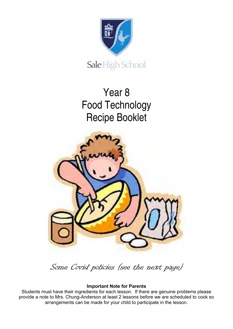

# Year 8 Food Technology Recipe Booklet



Some Covid policies (see the next page)

#### **Important Note for Parents**

Students must have their ingredients for each lesson. If there are genuine problems please provide a note to Mrs. Chung-Anderson at least 2 lessons before we are scheduled to cook so arrangements can be made for your child to participate in the lesson.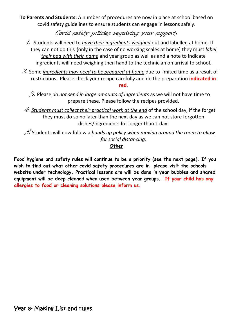**To Parents and Students:** A number of procedures are now in place at school based on covid safety guidelines to ensure students can engage in lessons safely.

Covid safety policies requiring your support:

- 1. Students will need to *have their ingredients weighed* out and labelled at home. If they can not do this (only in the case of no working scales at home) they must *label their bag with their name* and year group as well as and a note to indicate ingredients will need weighing then hand to the technician on arrival to school.
- 2. Some *ingredients may need to be prepared at home* due to limited time as a result of restrictions. Please check your recipe carefully and do the preparation **indicated in red**.
	- 3. Please *do not send in large amounts of ingredients* as we will not have time to prepare these. Please follow the recipes provided.
	- 4. *Students must collect their practical work at the end* of the school day, if the forget they must do so no later than the next day as we can not store forgotten dishes/ingredients for longer than 1 day.

5. Students will now follow a *hands up policy when moving around the room to allow for social distancing.* **Other** 

**Food hygiene and safety rules will continue to be a priority (see the next page). If you wish to find out what other covid safety procedures are in please visit the schools website under technology. Practical lessons are will be done in year bubbles and shared equipment will be deep cleaned when used between year groups. If your child has any allergies to food or cleaning solutions please inform us.**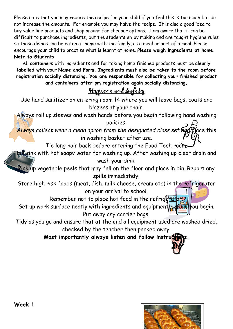Please note that you may reduce the recipe for your child if you feel this is too much but do not increase the amounts. For example you may halve the recipe. It is also a good idea to buy value line products and shop around for cheaper options. I am aware that it can be difficult to purchase ingredients, but the students enjoy making and are taught hygiene rules so these dishes can be eaten at home with the family, as a meal or part of a meal. Please encourage your child to practise what is learnt at home. **Please weigh ingredients at home. Note to Students** 

All **containers** with ingredients and for taking home finished products must be **clearly labelled with** your **Name and Form. Ingredients must also be taken to the room before registration socially distancing. You are responsible for collecting your finished product and containers after pm registration again socially distancing.** 

### Hygiene and Safety

Use hand sanitizer on entering room 14 where you will leave bags, coats and blazers at your chair.

Always roll up sleeves and wash hands before you begin following hand washing policies.

Always collect wear a clean apron from the designated class set and place this in washing basket after use.

Tie long hair back before entering the Food Tech room.

Fill sink with hot soapy water for washing up. After washing up clear drain and wash your sink.

 $\overline{\mathrm{Pick}}$ up vegetable peels that may fall on the floor and place in bin. Report any spills immediately.

Store high risk foods (meat, fish, milk cheese, cream etc) in the refrigerator on your arrival to school.

Remember not to place hot food in the refrigeration.

Set up work surface neatly with ingredients and equipment before you begin. Put away any carrier bags.

Tidy as you go and ensure that at the end all equipment used are washed dried, checked by the teacher then packed away.

**Most importantly always listen and follow instruct** 

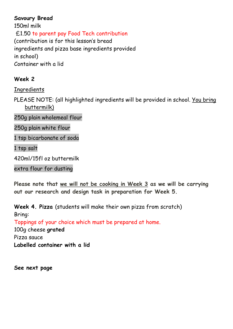#### **Savoury Bread**

150ml milk £1.50 to parent pay Food Tech contribution (contribution is for this lesson's bread ingredients and pizza base ingredients provided in school) Container with a lid

#### **Week 2**

**Ingredients** 

PLEASE NOTE: (all highlighted ingredients will be provided in school. You bring buttermilk)

250g plain wholemeal flour

250g plain white flour

1 tsp bicarbonate of soda

1 tsp salt

420ml/15fl oz buttermilk

extra flour for dusting

**Please note that we will not be cooking in Week 3 as we will be carrying out our research and design task in preparation for Week 5.**

**Week 4. Pizza** (students will make their own pizza from scratch) Bring:

Toppings of your choice which must be prepared at home.

100g cheese **grated**  Pizza sauce **Labelled container with a lid** 

**See next page**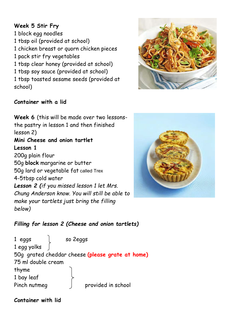#### **Week 5 Stir Fry**

1 block egg noodles 1 tbsp oil (provided at school) 1 chicken breast or quorn chicken pieces 1 pack stir fry vegetables 1 tbsp clear honey (provided at school) 1 tbsp soy sauce (provided at school) 1 tbsp toasted sesame seeds (provided at school)



#### **Container with a lid**





#### *Filling for lesson 2 (Cheese and onion tartlets)*

1 eggs | so 2eggs 1 egg yolks 50g grated cheddar cheese **(please grate at home)** 75 ml double cream thyme 1 bay leaf Pinch nutmeg provided in school

**Container with lid**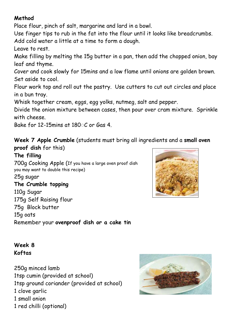#### **Method**

Place flour, pinch of salt, margarine and lard in a bowl.

Use finger tips to rub in the fat into the flour until it looks like breadcrumbs.

Add cold water a little at a time to form a dough.

Leave to rest.

Make filling by melting the 15g butter in a pan, then add the chopped onion, bay leaf and thyme.

Cover and cook slowly for 15mins and a low flame until onions are golden brown. Set aside to cool.

Flour work top and roll out the pastry. Use cutters to cut out circles and place in a bun tray.

Whisk together cream, eggs, egg yolks, nutmeg, salt and pepper.

Divide the onion mixture between cases, then pour over cram mixture. Sprinkle with cheese.

Bake for 12-15mins at 180 C or Gas 4

**Week 7 Apple Crumble** (students must bring all ingredients and a **small oven proof dish** for this)

## **The filling**

700g Cooking Apple (If you have a large oven proof dish you may want to double this recipe) 25g sugar **The Crumble topping**  110g Sugar 175g Self Raising flour 75g Block butter 15g oats Remember your **ovenproof dish or a cake tin**



#### **Week 8 Koftas**

250g minced lamb 1tsp cumin (provided at school) 1tsp ground coriander (provided at school) 1 clove garlic 1 small onion 1 red chilli (optional)